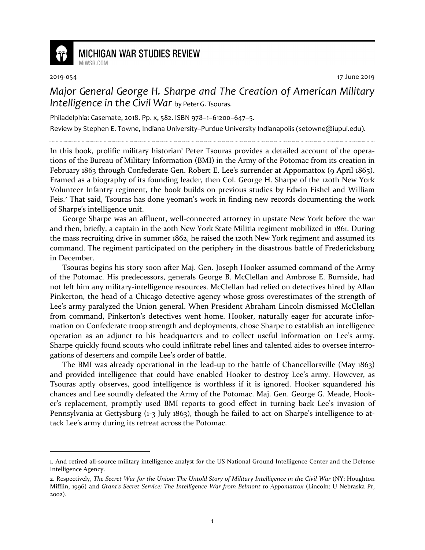

## **MICHIGAN WAR STUDIES REVIEW**

1

2019-054 17 June 2019

*Major General George H. Sharpe and The Creation of American Military Intelligence in the Civil War* by Peter G. Tsouras.

Philadelphia: Casemate, 2018. Pp. x, 582. ISBN 978–1–61200–647–5.

Review by Stephen E. Towne, Indiana University–Purdue University Indianapolis (setowne@iupui.edu).

In this book, prolific military historian<sup>1</sup> Peter Tsouras provides a detailed account of the operations of the Bureau of Military Information (BMI) in the Army of the Potomac from its creation in February 1863 through Confederate Gen. Robert E. Lee's surrender at Appomattox (9 April 1865). Framed as a biography of its founding leader, then Col. George H. Sharpe of the 120th New York Volunteer Infantry regiment, the book builds on previous studies by Edwin Fishel and William Feis.<sup>2</sup> That said, Tsouras has done yeoman's work in finding new records documenting the work of Sharpe's intelligence unit.

George Sharpe was an affluent, well-connected attorney in upstate New York before the war and then, briefly, a captain in the 20th New York State Militia regiment mobilized in 1861. During the mass recruiting drive in summer 1862, he raised the 120th New York regiment and assumed its command. The regiment participated on the periphery in the disastrous battle of Fredericksburg in December.

Tsouras begins his story soon after Maj. Gen. Joseph Hooker assumed command of the Army of the Potomac. His predecessors, generals George B. McClellan and Ambrose E. Burnside, had not left him any military-intelligence resources. McClellan had relied on detectives hired by Allan Pinkerton, the head of a Chicago detective agency whose gross overestimates of the strength of Lee's army paralyzed the Union general. When President Abraham Lincoln dismissed McClellan from command, Pinkerton's detectives went home. Hooker, naturally eager for accurate information on Confederate troop strength and deployments, chose Sharpe to establish an intelligence operation as an adjunct to his headquarters and to collect useful information on Lee's army. Sharpe quickly found scouts who could infiltrate rebel lines and talented aides to oversee interrogations of deserters and compile Lee's order of battle.

The BMI was already operational in the lead-up to the battle of Chancellorsville (May 1863) and provided intelligence that could have enabled Hooker to destroy Lee's army. However, as Tsouras aptly observes, good intelligence is worthless if it is ignored. Hooker squandered his chances and Lee soundly defeated the Army of the Potomac. Maj. Gen. George G. Meade, Hooker's replacement, promptly used BMI reports to good effect in turning back Lee's invasion of Pennsylvania at Gettysburg (1-3 July 1863), though he failed to act on Sharpe's intelligence to attack Lee's army during its retreat across the Potomac.

<sup>1.</sup> And retired all-source military intelligence analyst for the US National Ground Intelligence Center and the Defense Intelligence Agency.

<sup>2.</sup> Respectively, *The Secret War for the Union: The Untold Story of Military Intelligence in the Civil War* (NY: Houghton Mifflin, 1996) and *Grant's Secret Service: The Intelligence War from Belmont to Appomattox* (Lincoln: U Nebraska Pr, 2002).